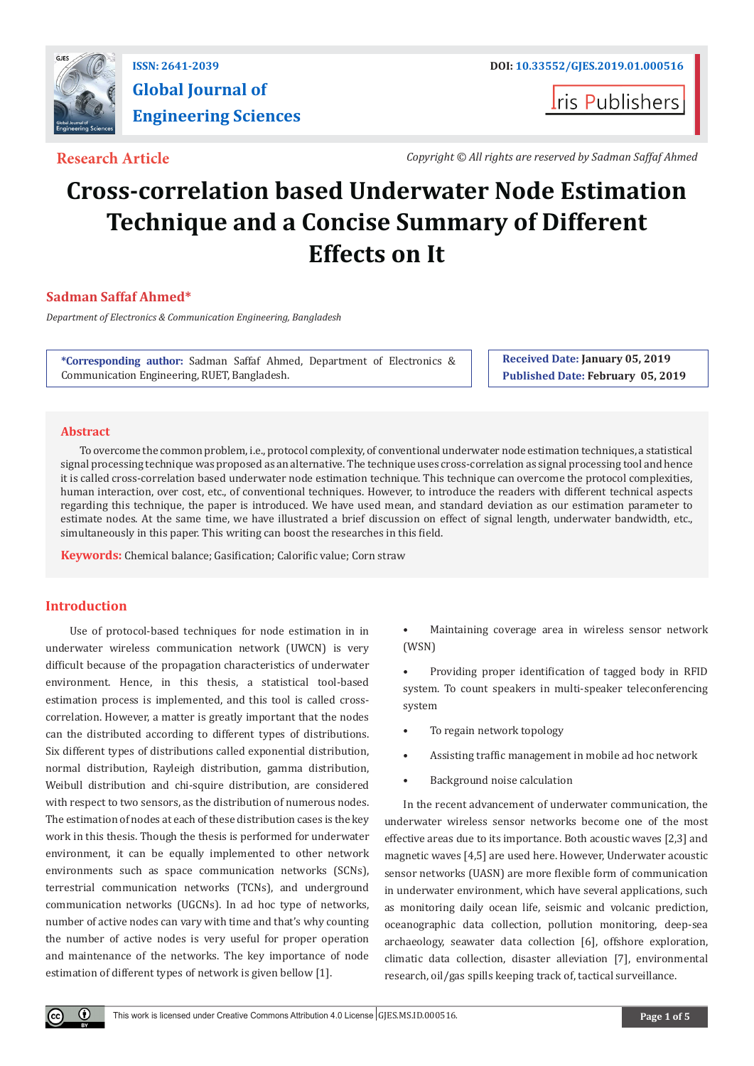

## **ISSN: 2641-2039 DOI: [10.33552/GJES.2019.01.000516](http://dx.doi.org/10.33552/GJES.2019.01.000516) Global Journal of Engineering Sciences**

**I**ris Publishers

**Research Article** *Copyright © All rights are reserved by Sadman Saffaf Ahmed*

# **Cross-correlation based Underwater Node Estimation Technique and a Concise Summary of Different Effects on It**

#### **Sadman Saffaf Ahmed\***

*Department of Electronics & Communication Engineering, Bangladesh*

**\*Corresponding author:** Sadman Saffaf Ahmed, Department of Electronics & Communication Engineering, RUET, Bangladesh.

**Received Date: January 05, 2019 Published Date: February 05, 2019**

#### **Abstract**

To overcome the common problem, i.e., protocol complexity, of conventional underwater node estimation techniques, a statistical signal processing technique was proposed as an alternative. The technique uses cross-correlation as signal processing tool and hence it is called cross-correlation based underwater node estimation technique. This technique can overcome the protocol complexities, human interaction, over cost, etc., of conventional techniques. However, to introduce the readers with different technical aspects regarding this technique, the paper is introduced. We have used mean, and standard deviation as our estimation parameter to estimate nodes. At the same time, we have illustrated a brief discussion on effect of signal length, underwater bandwidth, etc., simultaneously in this paper. This writing can boost the researches in this field.

**Keywords:** Chemical balance; Gasification; Calorific value; Corn straw

#### **Introduction**

Œ

Use of protocol-based techniques for node estimation in in underwater wireless communication network (UWCN) is very difficult because of the propagation characteristics of underwater environment. Hence, in this thesis, a statistical tool-based estimation process is implemented, and this tool is called crosscorrelation. However, a matter is greatly important that the nodes can the distributed according to different types of distributions. Six different types of distributions called exponential distribution, normal distribution, Rayleigh distribution, gamma distribution, Weibull distribution and chi-squire distribution, are considered with respect to two sensors, as the distribution of numerous nodes. The estimation of nodes at each of these distribution cases is the key work in this thesis. Though the thesis is performed for underwater environment, it can be equally implemented to other network environments such as space communication networks (SCNs), terrestrial communication networks (TCNs), and underground communication networks (UGCNs). In ad hoc type of networks, number of active nodes can vary with time and that's why counting the number of active nodes is very useful for proper operation and maintenance of the networks. The key importance of node estimation of different types of network is given bellow [1].

• Maintaining coverage area in wireless sensor network (WSN)

• Providing proper identification of tagged body in RFID system. To count speakers in multi-speaker teleconferencing system

- To regain network topology
- Assisting traffic management in mobile ad hoc network
- Background noise calculation

In the recent advancement of underwater communication, the underwater wireless sensor networks become one of the most effective areas due to its importance. Both acoustic waves [2,3] and magnetic waves [4,5] are used here. However, Underwater acoustic sensor networks (UASN) are more flexible form of communication in underwater environment, which have several applications, such as monitoring daily ocean life, seismic and volcanic prediction, oceanographic data collection, pollution monitoring, deep-sea archaeology, seawater data collection [6], offshore exploration, climatic data collection, disaster alleviation [7], environmental research, oil/gas spills keeping track of, tactical surveillance.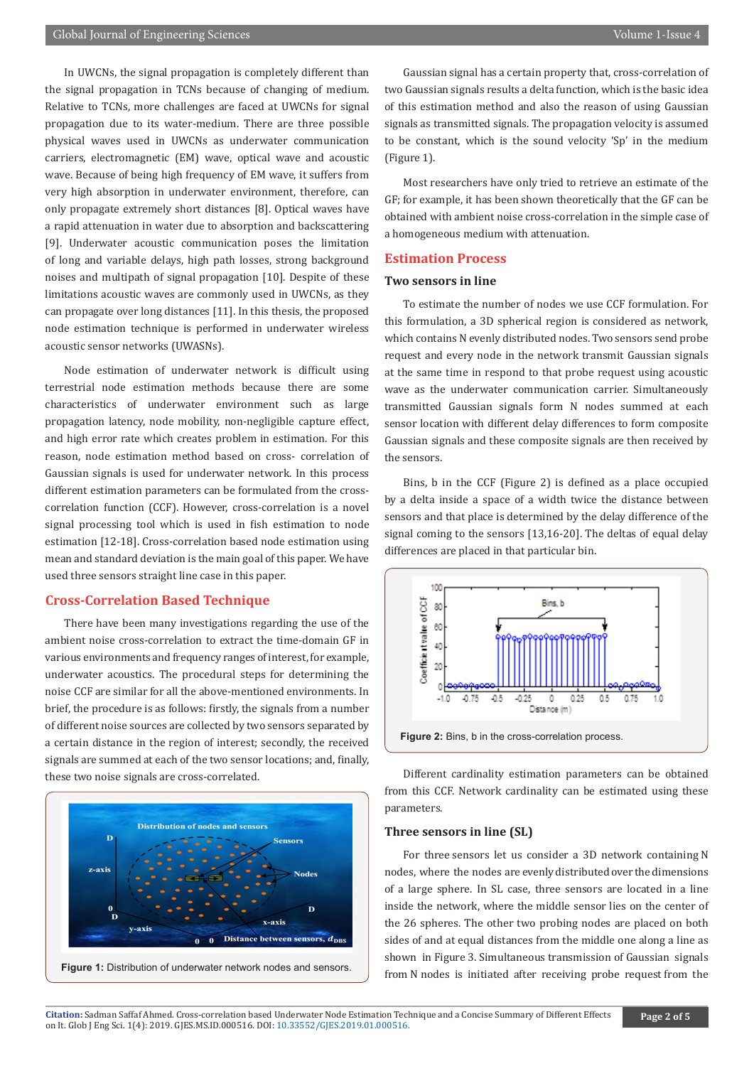#### Global Journal of Engineering Sciences Volume 1-Issue 4

In UWCNs, the signal propagation is completely different than the signal propagation in TCNs because of changing of medium. Relative to TCNs, more challenges are faced at UWCNs for signal propagation due to its water-medium. There are three possible physical waves used in UWCNs as underwater communication carriers, electromagnetic (EM) wave, optical wave and acoustic wave. Because of being high frequency of EM wave, it suffers from very high absorption in underwater environment, therefore, can only propagate extremely short distances [8]. Optical waves have a rapid attenuation in water due to absorption and backscattering [9]. Underwater acoustic communication poses the limitation of long and variable delays, high path losses, strong background noises and multipath of signal propagation [10]. Despite of these limitations acoustic waves are commonly used in UWCNs, as they can propagate over long distances [11]. In this thesis, the proposed node estimation technique is performed in underwater wireless acoustic sensor networks (UWASNs).

Node estimation of underwater network is difficult using terrestrial node estimation methods because there are some characteristics of underwater environment such as large propagation latency, node mobility, non-negligible capture effect, and high error rate which creates problem in estimation. For this reason, node estimation method based on cross- correlation of Gaussian signals is used for underwater network. In this process different estimation parameters can be formulated from the crosscorrelation function (CCF). However, cross-correlation is a novel signal processing tool which is used in fish estimation to node estimation [12-18]. Cross-correlation based node estimation using mean and standard deviation is the main goal of this paper. We have used three sensors straight line case in this paper.

#### **Cross-Correlation Based Technique**

There have been many investigations regarding the use of the ambient noise cross-correlation to extract the time-domain GF in various environments and frequency ranges of interest, for example, underwater acoustics. The procedural steps for determining the noise CCF are similar for all the above-mentioned environments. In brief, the procedure is as follows: firstly, the signals from a number of different noise sources are collected by two sensors separated by a certain distance in the region of interest; secondly, the received signals are summed at each of the two sensor locations; and, finally, these two noise signals are cross-correlated.



Gaussian signal has a certain property that, cross-correlation of two Gaussian signals results a delta function, which is the basic idea of this estimation method and also the reason of using Gaussian signals as transmitted signals. The propagation velocity is assumed to be constant, which is the sound velocity 'Sp' in the medium (Figure 1).

Most researchers have only tried to retrieve an estimate of the GF; for example, it has been shown theoretically that the GF can be obtained with ambient noise cross-correlation in the simple case of a homogeneous medium with attenuation.

#### **Estimation Process**

#### **Two sensors in line**

To estimate the number of nodes we use CCF formulation. For this formulation, a 3D spherical region is considered as network, which contains N evenly distributed nodes. Two sensors send probe request and every node in the network transmit Gaussian signals at the same time in respond to that probe request using acoustic wave as the underwater communication carrier. Simultaneously transmitted Gaussian signals form N nodes summed at each sensor location with different delay differences to form composite Gaussian signals and these composite signals are then received by the sensors.

Bins, b in the CCF (Figure 2) is defined as a place occupied by a delta inside a space of a width twice the distance between sensors and that place is determined by the delay difference of the signal coming to the sensors [13,16-20]. The deltas of equal delay differences are placed in that particular bin.



Figure 2: Bins, b in the cross-correlation process.

Different cardinality estimation parameters can be obtained from this CCF. Network cardinality can be estimated using these parameters.

#### **Three sensors in line (SL)**

For three sensors let us consider a 3D network containing N nodes, where the nodes are evenly distributed over the dimensions of a large sphere. In SL case, three sensors are located in a line inside the network, where the middle sensor lies on the center of the 26 spheres. The other two probing nodes are placed on both sides of and at equal distances from the middle one along a line as shown in Figure 3. Simultaneous transmission of Gaussian signals from N nodes is initiated after receiving probe request from the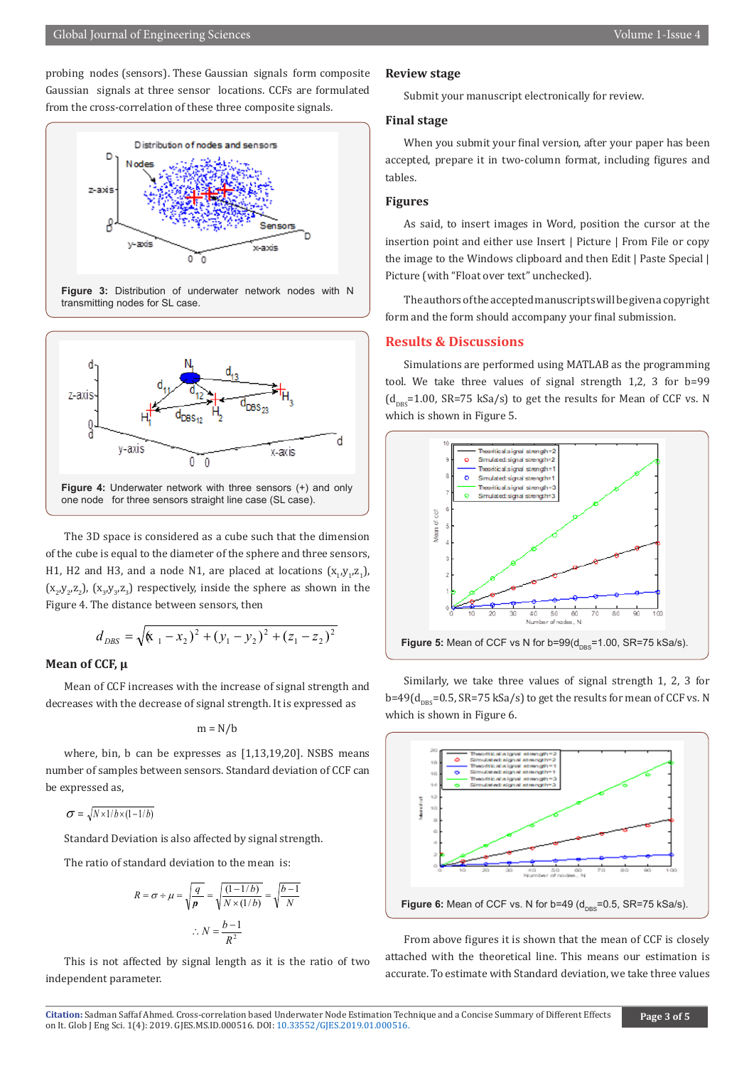probing nodes (sensors). These Gaussian signals form composite Gaussian signals at three sensor locations. CCFs are formulated from the cross-correlation of these three composite signals.





The 3D space is considered as a cube such that the dimension of the cube is equal to the diameter of the sphere and three sensors, H1, H2 and H3, and a node N1, are placed at locations  $(x_{12},y_{12},z_{1})$ ,  $(x_2, y_2, z_2)$ ,  $(x_3, y_3, z_3)$  respectively, inside the sphere as shown in the Figure 4. The distance between sensors, then

$$
d_{\text{DBS}} = \sqrt{(x_1 - x_2)^2 + (y_1 - y_2)^2 + (z_1 - z_2)^2}
$$

#### **Mean of CCF, μ**

Mean of CCF increases with the increase of signal strength and decreases with the decrease of signal strength. It is expressed as

$$
m = N/b
$$

where, bin, b can be expresses as [1,13,19,20]. NSBS means number of samples between sensors. Standard deviation of CCF can be expressed as,

 $\sigma = \sqrt{N \times 1/b \times (1-1/b)}$ 

Standard Deviation is also affected by signal strength.

The ratio of standard deviation to the mean is:

$$
R = \sigma \div \mu = \sqrt{\frac{q}{p}} = \sqrt{\frac{(1-1/b)}{N \times (1/b)}} = \sqrt{\frac{b-1}{N}}
$$

$$
\therefore N = \frac{b-1}{R^2}
$$

This is not affected by signal length as it is the ratio of two independent parameter.

#### **Review stage**

Submit your manuscript electronically for review.

#### **Final stage**

When you submit your final version, after your paper has been accepted, prepare it in two-column format, including figures and tables.

#### **Figures**

As said, to insert images in Word, position the cursor at the insertion point and either use Insert | Picture | From File or copy the image to the Windows clipboard and then Edit | Paste Special | Picture (with "Float over text" unchecked).

The authors of the accepted manuscripts will be given a copyright form and the form should accompany your final submission.

#### **Results & Discussions**

Simulations are performed using MATLAB as the programming tool. We take three values of signal strength 1,2, 3 for b=99  $(d_{\text{pnc}}=1.00, \text{ SR}=75 \text{ kSa/s})$  to get the results for Mean of CCF vs. N which is shown in Figure 5.



Similarly, we take three values of signal strength 1, 2, 3 for  $b=49(d_{\text{p}_{\text{BS}}}=0.5,$  SR=75 kSa/s) to get the results for mean of CCF vs. N which is shown in Figure 6.



From above figures it is shown that the mean of CCF is closely attached with the theoretical line. This means our estimation is accurate. To estimate with Standard deviation, we take three values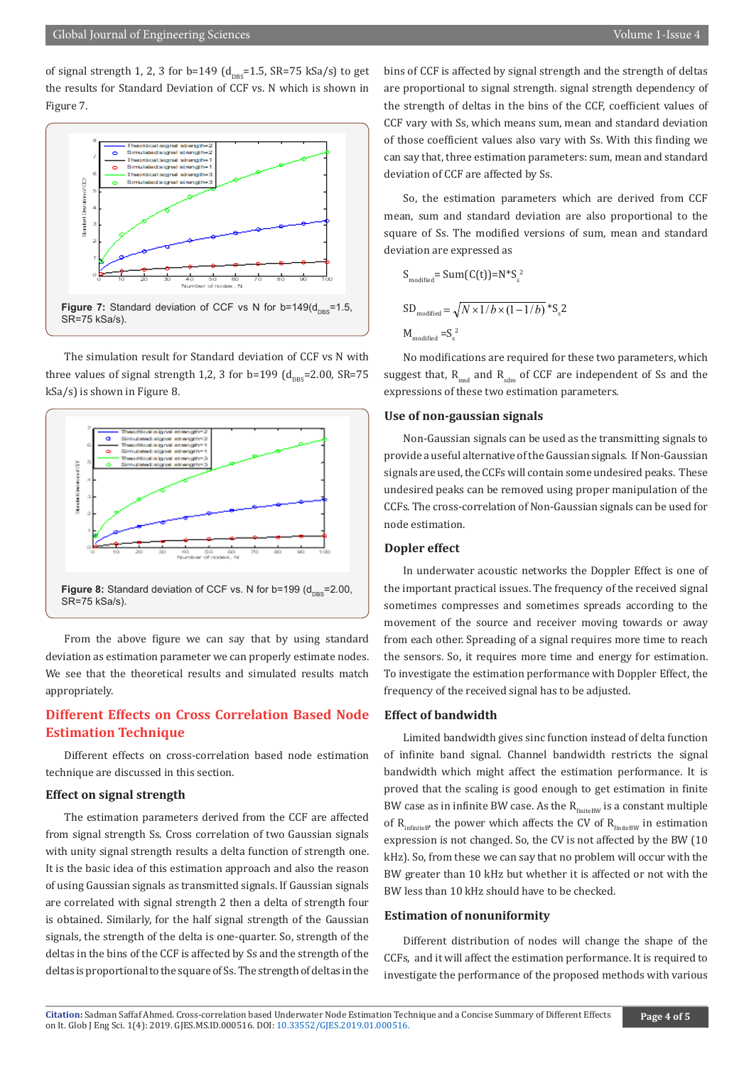of signal strength 1, 2, 3 for b=149 ( $d_{\text{pRS}}$ =1.5, SR=75 kSa/s) to get the results for Standard Deviation of CCF vs. N which is shown in Figure 7.



The simulation result for Standard deviation of CCF vs N with three values of signal strength 1,2, 3 for b=199 ( $d_{\text{puc}}$ =2.00, SR=75 kSa/s) is shown in Figure 8.



From the above figure we can say that by using standard deviation as estimation parameter we can properly estimate nodes. We see that the theoretical results and simulated results match appropriately.

### **Different Effects on Cross Correlation Based Node Estimation Technique**

Different effects on cross-correlation based node estimation technique are discussed in this section.

#### **Effect on signal strength**

The estimation parameters derived from the CCF are affected from signal strength Ss. Cross correlation of two Gaussian signals with unity signal strength results a delta function of strength one. It is the basic idea of this estimation approach and also the reason of using Gaussian signals as transmitted signals. If Gaussian signals are correlated with signal strength 2 then a delta of strength four is obtained. Similarly, for the half signal strength of the Gaussian signals, the strength of the delta is one-quarter. So, strength of the deltas in the bins of the CCF is affected by Ss and the strength of the deltas is proportional to the square of Ss. The strength of deltas in the

bins of CCF is affected by signal strength and the strength of deltas are proportional to signal strength. signal strength dependency of the strength of deltas in the bins of the CCF, coefficient values of CCF vary with Ss, which means sum, mean and standard deviation of those coefficient values also vary with Ss. With this finding we can say that, three estimation parameters: sum, mean and standard deviation of CCF are affected by Ss.

So, the estimation parameters which are derived from CCF mean, sum and standard deviation are also proportional to the square of Ss. The modified versions of sum, mean and standard deviation are expressed as

$$
S_{\text{modified}} = \text{Sum}(C(t)) = N^* S_s^2
$$
\n
$$
SD_{\text{modified}} = \sqrt{N \times 1/b \times (1 - 1/b)} * S_s^2
$$
\n
$$
M_{\text{modified}} = S_s^2
$$

No modifications are required for these two parameters, which suggest that,  $R_{\text{med}}$  and  $R_{\text{sdm}}$  of CCF are independent of Ss and the expressions of these two estimation parameters.

#### **Use of non-gaussian signals**

Non-Gaussian signals can be used as the transmitting signals to provide a useful alternative of the Gaussian signals. If Non-Gaussian signals are used, the CCFs will contain some undesired peaks. These undesired peaks can be removed using proper manipulation of the CCFs. The cross-correlation of Non-Gaussian signals can be used for node estimation.

#### **Dopler effect**

In underwater acoustic networks the Doppler Effect is one of the important practical issues. The frequency of the received signal sometimes compresses and sometimes spreads according to the movement of the source and receiver moving towards or away from each other. Spreading of a signal requires more time to reach the sensors. So, it requires more time and energy for estimation. To investigate the estimation performance with Doppler Effect, the frequency of the received signal has to be adjusted.

#### **Effect of bandwidth**

Limited bandwidth gives sinc function instead of delta function of infinite band signal. Channel bandwidth restricts the signal bandwidth which might affect the estimation performance. It is proved that the scaling is good enough to get estimation in finite BW case as in infinite BW case. As the  $R_{\text{finiteBW}}$  is a constant multiple of  $R_{infinite}$ , the power which affects the CV of  $R_{infinite}$  in estimation expression is not changed. So, the CV is not affected by the BW (10 kHz). So, from these we can say that no problem will occur with the BW greater than 10 kHz but whether it is affected or not with the BW less than 10 kHz should have to be checked.

#### **Estimation of nonuniformity**

Different distribution of nodes will change the shape of the CCFs, and it will affect the estimation performance. It is required to investigate the performance of the proposed methods with various